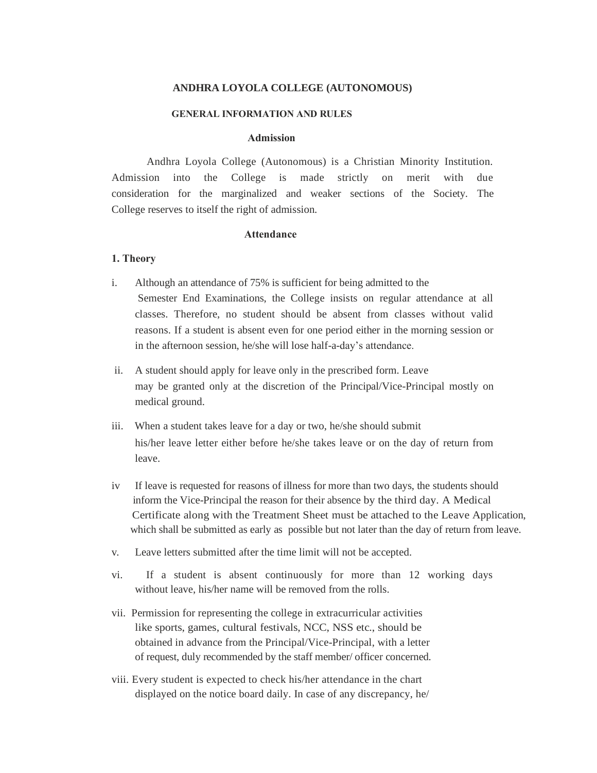#### **ANDHRA LOYOLA COLLEGE (AUTONOMOUS)**

#### **GENERAL INFORMATION AND RULES**

#### **Admission**

Andhra Loyola College (Autonomous) is a Christian Minority Institution. Admission into the College is made strictly on merit with due consideration for the marginalized and weaker sections of the Society. The College reserves to itself the right of admission.

#### **Attendance**

#### **1. Theory**

- i. Although an attendance of 75% is sufficient for being admitted to the Semester End Examinations, the College insists on regular attendance at all classes. Therefore, no student should be absent from classes without valid reasons. If a student is absent even for one period either in the morning session or in the afternoon session, he/she will lose half-a-day's attendance.
- ii. A student should apply for leave only in the prescribed form. Leave may be granted only at the discretion of the Principal/Vice-Principal mostly on medical ground.
- iii. When a student takes leave for a day or two, he/she should submit his/her leave letter either before he/she takes leave or on the day of return from leave.
- iv If leave is requested for reasons of illness for more than two days, the students should inform the Vice-Principal the reason for their absence by the third day. A Medical Certificate along with the Treatment Sheet must be attached to the Leave Application, which shall be submitted as early as possible but not later than the day of return from leave.
- v. Leave letters submitted after the time limit will not be accepted.
- vi. If a student is absent continuously for more than 12 working days without leave, his/her name will be removed from the rolls.
- vii. Permission for representing the college in extracurricular activities like sports, games, cultural festivals, NCC, NSS etc., should be obtained in advance from the Principal/Vice-Principal, with a letter of request, duly recommended by the staff member/ officer concerned.
- viii. Every student is expected to check his/her attendance in the chart displayed on the notice board daily. In case of any discrepancy, he/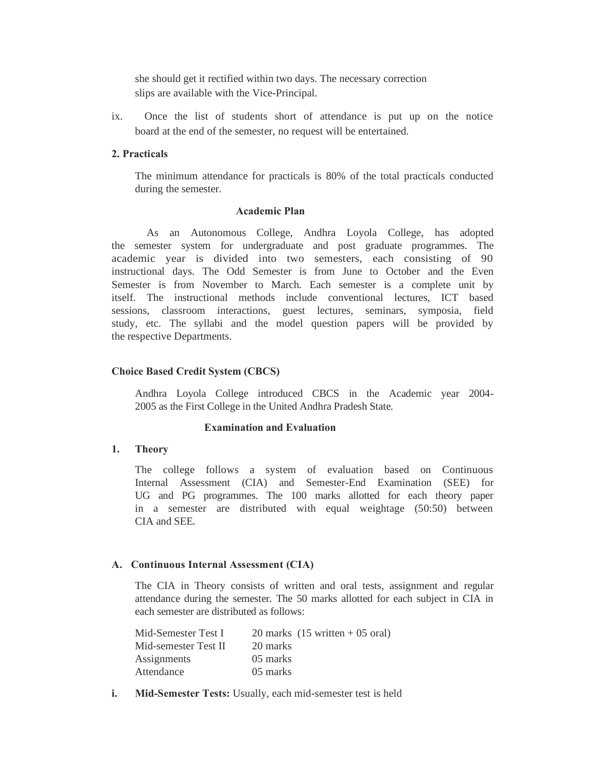she should get it rectified within two days. The necessary correction slips are available with the Vice-Principal.

ix. Once the list of students short of attendance is put up on the notice board at the end of the semester, no request will be entertained.

#### **2. Practicals**

The minimum attendance for practicals is 80% of the total practicals conducted during the semester.

#### **Academic Plan**

As an Autonomous College, Andhra Loyola College, has adopted the semester system for undergraduate and post graduate programmes. The academic year is divided into two semesters, each consisting of 90 instructional days. The Odd Semester is from June to October and the Even Semester is from November to March. Each semester is a complete unit by itself. The instructional methods include conventional lectures, ICT based sessions, classroom interactions, guest lectures, seminars, symposia, field study, etc. The syllabi and the model question papers will be provided by the respective Departments.

#### **Choice Based Credit System (CBCS)**

Andhra Loyola College introduced CBCS in the Academic year 2004- 2005 as the First College in the United Andhra Pradesh State.

#### **Examination and Evaluation**

#### **1. Theory**

The college follows a system of evaluation based on Continuous Internal Assessment (CIA) and Semester-End Examination (SEE) for UG and PG programmes. The 100 marks allotted for each theory paper in a semester are distributed with equal weightage (50:50) between CIA and SEE.

#### **A. Continuous Internal Assessment (CIA)**

The CIA in Theory consists of written and oral tests, assignment and regular attendance during the semester. The 50 marks allotted for each subject in CIA in each semester are distributed as follows:

| Mid-Semester Test I  | 20 marks $(15 \text{ written} + 05 \text{ oral})$ |
|----------------------|---------------------------------------------------|
| Mid-semester Test II | 20 marks                                          |
| Assignments          | 05 marks                                          |
| Attendance           | 05 marks                                          |

**i. Mid-Semester Tests:** Usually, each mid-semester test is held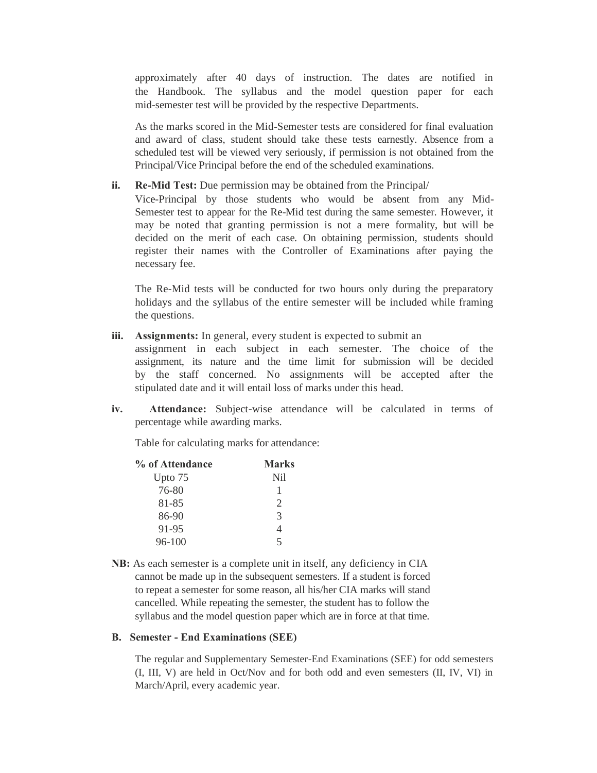approximately after 40 days of instruction. The dates are notified in the Handbook. The syllabus and the model question paper for each mid-semester test will be provided by the respective Departments.

As the marks scored in the Mid-Semester tests are considered for final evaluation and award of class, student should take these tests earnestly. Absence from a scheduled test will be viewed very seriously, if permission is not obtained from the Principal/Vice Principal before the end of the scheduled examinations.

## **ii. Re-Mid Test:** Due permission may be obtained from the Principal/

Vice-Principal by those students who would be absent from any Mid-Semester test to appear for the Re-Mid test during the same semester. However, it may be noted that granting permission is not a mere formality, but will be decided on the merit of each case. On obtaining permission, students should register their names with the Controller of Examinations after paying the necessary fee.

The Re-Mid tests will be conducted for two hours only during the preparatory holidays and the syllabus of the entire semester will be included while framing the questions.

iii. Assignments: In general, every student is expected to submit an

assignment in each subject in each semester. The choice of the assignment, its nature and the time limit for submission will be decided by the staff concerned. No assignments will be accepted after the stipulated date and it will entail loss of marks under this head.

**iv. Attendance:** Subject-wise attendance will be calculated in terms of percentage while awarding marks.

Table for calculating marks for attendance:

| % of Attendance | <b>Marks</b>  |
|-----------------|---------------|
| Upto 75         | Nil           |
| 76-80           | 1             |
| 81-85           | 2             |
| 86-90           | $\mathcal{R}$ |
| 91-95           | 4             |
| 96-100          | 5             |

**NB:** As each semester is a complete unit in itself, any deficiency in CIA cannot be made up in the subsequent semesters. If a student is forced to repeat a semester for some reason, all his/her CIA marks will stand cancelled. While repeating the semester, the student has to follow the syllabus and the model question paper which are in force at that time.

#### **B. Semester - End Examinations (SEE)**

The regular and Supplementary Semester-End Examinations (SEE) for odd semesters (I, III, V) are held in Oct/Nov and for both odd and even semesters (II, IV, VI) in March/April, every academic year.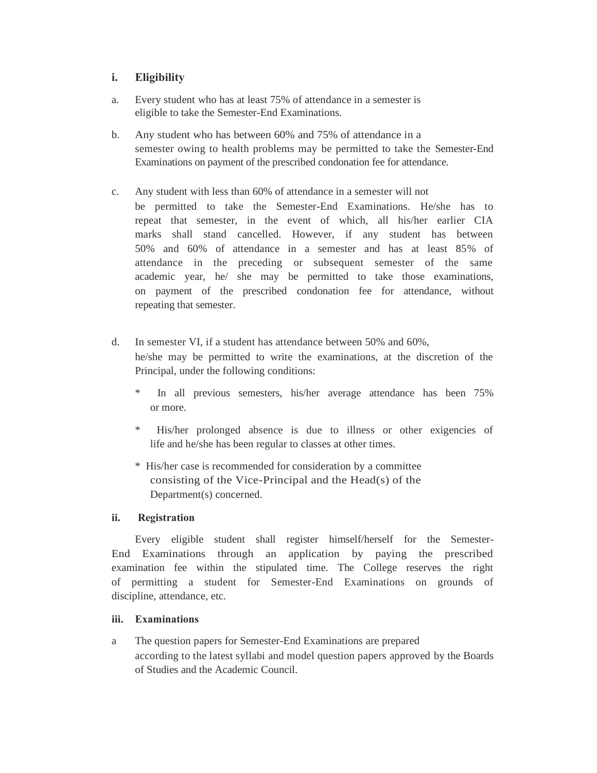# **i. Eligibility**

- a. Every student who has at least 75% of attendance in a semester is eligible to take the Semester-End Examinations.
- b. Any student who has between 60% and 75% of attendance in a semester owing to health problems may be permitted to take the Semester-End Examinations on payment of the prescribed condonation fee for attendance.
- c. Any student with less than 60% of attendance in a semester will not
	- be permitted to take the Semester-End Examinations. He/she has to repeat that semester, in the event of which, all his/her earlier CIA marks shall stand cancelled. However, if any student has between 50% and 60% of attendance in a semester and has at least 85% of attendance in the preceding or subsequent semester of the same academic year, he/ she may be permitted to take those examinations, on payment of the prescribed condonation fee for attendance, without repeating that semester.
- d. In semester VI, if a student has attendance between 50% and 60%, he/she may be permitted to write the examinations, at the discretion of the Principal, under the following conditions:
	- In all previous semesters, his/her average attendance has been 75% or more.
	- \* His/her prolonged absence is due to illness or other exigencies of life and he/she has been regular to classes at other times.
	- \* His/her case is recommended for consideration by a committee consisting of the Vice-Principal and the Head(s) of the Department(s) concerned.

# **ii. Registration**

Every eligible student shall register himself/herself for the Semester-End Examinations through an application by paying the prescribed examination fee within the stipulated time. The College reserves the right of permitting a student for Semester-End Examinations on grounds of discipline, attendance, etc.

# **iii. Examinations**

a The question papers for Semester-End Examinations are prepared according to the latest syllabi and model question papers approved by the Boards of Studies and the Academic Council.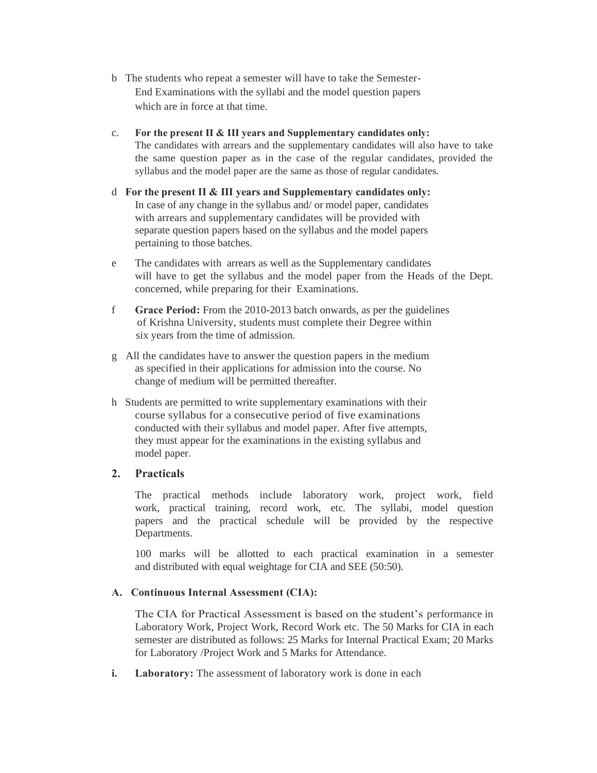- b The students who repeat a semester will have to take the Semester-End Examinations with the syllabi and the model question papers which are in force at that time.
- c. **For the present II & III years and Supplementary candidates only:** The candidates with arrears and the supplementary candidates will also have to take the same question paper as in the case of the regular candidates, provided the syllabus and the model paper are the same as those of regular candidates.
- d **For the present II & III years and Supplementary candidates only:**  In case of any change in the syllabus and/ or model paper, candidates with arrears and supplementary candidates will be provided with separate question papers based on the syllabus and the model papers pertaining to those batches.
- e The candidates with arrears as well as the Supplementary candidates will have to get the syllabus and the model paper from the Heads of the Dept. concerned, while preparing for their Examinations.
- f **Grace Period:** From the 2010-2013 batch onwards, as per the guidelines of Krishna University, students must complete their Degree within six years from the time of admission.
- g All the candidates have to answer the question papers in the medium as specified in their applications for admission into the course. No change of medium will be permitted thereafter.
- h Students are permitted to write supplementary examinations with their course syllabus for a consecutive period of five examinations conducted with their syllabus and model paper. After five attempts, they must appear for the examinations in the existing syllabus and model paper.

# **2. Practicals**

The practical methods include laboratory work, project work, field work, practical training, record work, etc. The syllabi, model question papers and the practical schedule will be provided by the respective Departments.

100 marks will be allotted to each practical examination in a semester and distributed with equal weightage for CIA and SEE (50:50).

## **A. Continuous Internal Assessment (CIA):**

The CIA for Practical Assessment is based on the student's performance in Laboratory Work, Project Work, Record Work etc. The 50 Marks for CIA in each semester are distributed as follows: 25 Marks for Internal Practical Exam; 20 Marks for Laboratory /Project Work and 5 Marks for Attendance.

**i.** Laboratory: The assessment of laboratory work is done in each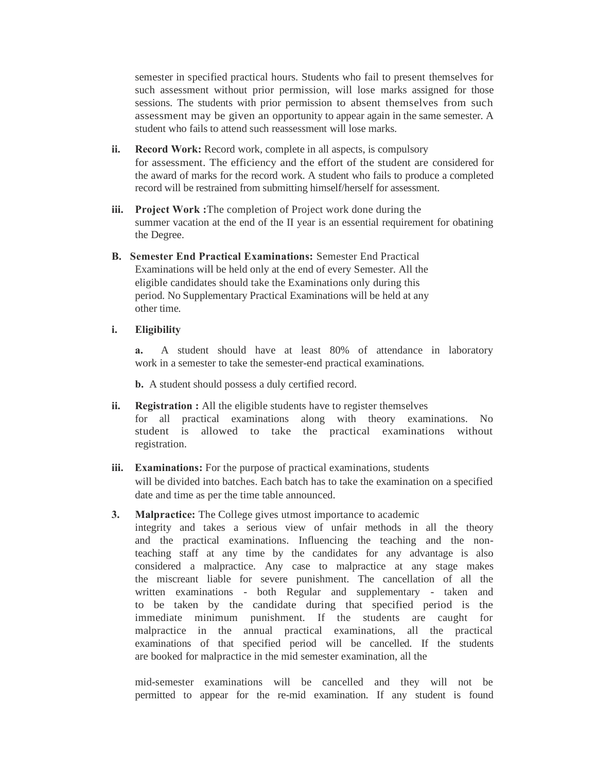semester in specified practical hours. Students who fail to present themselves for such assessment without prior permission, will lose marks assigned for those sessions. The students with prior permission to absent themselves from such assessment may be given an opportunity to appear again in the same semester. A student who fails to attend such reassessment will lose marks.

- **ii. Record Work:** Record work, complete in all aspects, is compulsory for assessment. The efficiency and the effort of the student are considered for the award of marks for the record work. A student who fails to produce a completed record will be restrained from submitting himself/herself for assessment.
- **iii. Project Work :**The completion of Project work done during the summer vacation at the end of the II year is an essential requirement for obatining the Degree.
- **B. Semester End Practical Examinations:** Semester End Practical Examinations will be held only at the end of every Semester. All the eligible candidates should take the Examinations only during this period. No Supplementary Practical Examinations will be held at any other time.

## **i. Eligibility**

**a.** A student should have at least 80% of attendance in laboratory work in a semester to take the semester-end practical examinations.

**b.** A student should possess a duly certified record.

- **ii. Registration :** All the eligible students have to register themselves for all practical examinations along with theory examinations. No student is allowed to take the practical examinations without registration.
- **iii. Examinations:** For the purpose of practical examinations, students will be divided into batches. Each batch has to take the examination on a specified date and time as per the time table announced.
- **3.** Malpractice: The College gives utmost importance to academic

integrity and takes a serious view of unfair methods in all the theory and the practical examinations. Influencing the teaching and the nonteaching staff at any time by the candidates for any advantage is also considered a malpractice. Any case to malpractice at any stage makes the miscreant liable for severe punishment. The cancellation of all the written examinations - both Regular and supplementary - taken and to be taken by the candidate during that specified period is the immediate minimum punishment. If the students are caught for malpractice in the annual practical examinations, all the practical examinations of that specified period will be cancelled. If the students are booked for malpractice in the mid semester examination, all the

mid-semester examinations will be cancelled and they will not be permitted to appear for the re-mid examination. If any student is found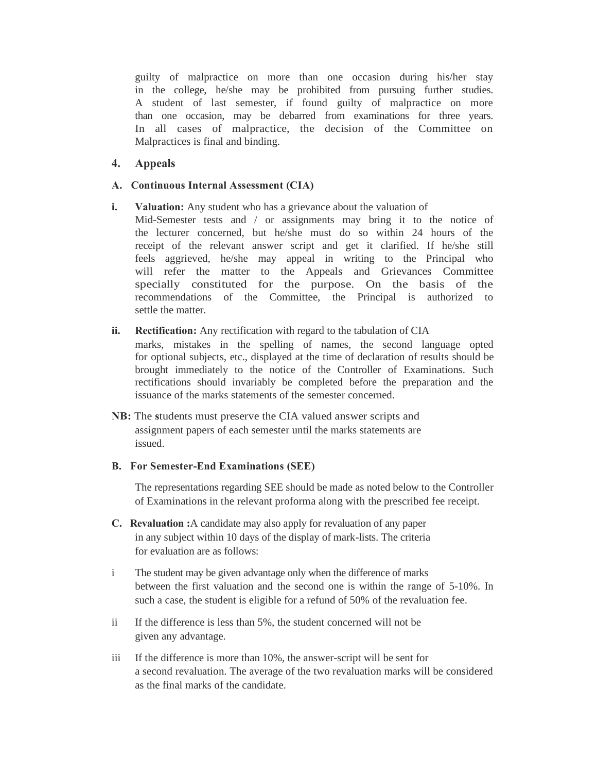guilty of malpractice on more than one occasion during his/her stay in the college, he/she may be prohibited from pursuing further studies. A student of last semester, if found guilty of malpractice on more than one occasion, may be debarred from examinations for three years. In all cases of malpractice, the decision of the Committee on Malpractices is final and binding.

## **4. Appeals**

## **A. Continuous Internal Assessment (CIA)**

- **i.** Valuation: Any student who has a grievance about the valuation of
	- Mid-Semester tests and / or assignments may bring it to the notice of the lecturer concerned, but he/she must do so within 24 hours of the receipt of the relevant answer script and get it clarified. If he/she still feels aggrieved, he/she may appeal in writing to the Principal who will refer the matter to the Appeals and Grievances Committee specially constituted for the purpose. On the basis of the recommendations of the Committee, the Principal is authorized to settle the matter.

## **ii. Rectification:** Any rectification with regard to the tabulation of CIA

marks, mistakes in the spelling of names, the second language opted for optional subjects, etc., displayed at the time of declaration of results should be brought immediately to the notice of the Controller of Examinations. Such rectifications should invariably be completed before the preparation and the issuance of the marks statements of the semester concerned.

**NB:** The students must preserve the CIA valued answer scripts and assignment papers of each semester until the marks statements are issued.

#### **B. For Semester-End Examinations (SEE)**

The representations regarding SEE should be made as noted below to the Controller of Examinations in the relevant proforma along with the prescribed fee receipt.

- **C. Revaluation :**A candidate may also apply for revaluation of any paper in any subject within 10 days of the display of mark-lists. The criteria for evaluation are as follows:
- i The student may be given advantage only when the difference of marks between the first valuation and the second one is within the range of 5-10%. In such a case, the student is eligible for a refund of 50% of the revaluation fee.
- ii If the difference is less than 5%, the student concerned will not be given any advantage.
- iii If the difference is more than 10%, the answer-script will be sent for a second revaluation. The average of the two revaluation marks will be considered as the final marks of the candidate.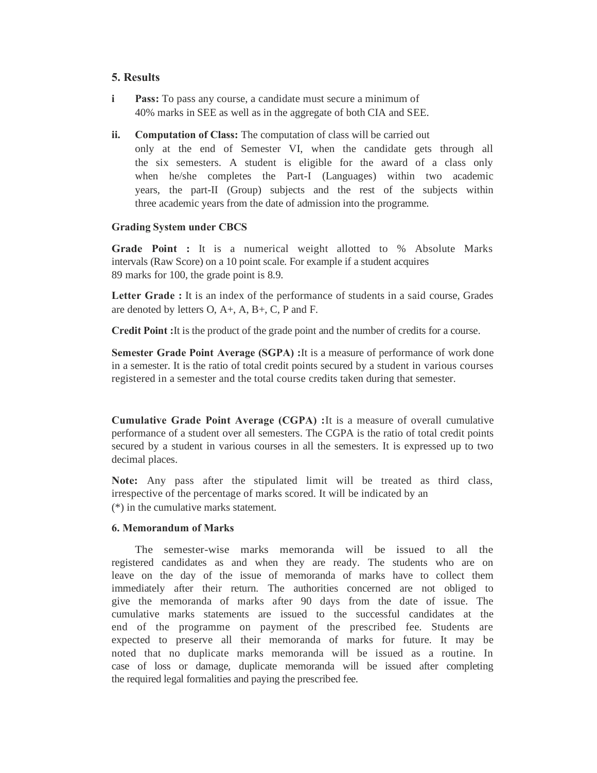## **5. Results**

- **i Pass:** To pass any course, a candidate must secure a minimum of 40% marks in SEE as well as in the aggregate of both CIA and SEE.
- **ii. Computation of Class:** The computation of class will be carried out
	- only at the end of Semester VI, when the candidate gets through all the six semesters. A student is eligible for the award of a class only when he/she completes the Part-I (Languages) within two academic years, the part-II (Group) subjects and the rest of the subjects within three academic years from the date of admission into the programme.

## **Grading System under CBCS**

**Grade Point :** It is a numerical weight allotted to % Absolute Marks intervals (Raw Score) on a 10 point scale. For example if a student acquires 89 marks for 100, the grade point is 8.9.

**Letter Grade :** It is an index of the performance of students in a said course, Grades are denoted by letters O, A+, A, B+, C, P and F.

**Credit Point :**It is the product of the grade point and the number of credits for a course.

**Semester Grade Point Average (SGPA) : It is a measure of performance of work done** in a semester. It is the ratio of total credit points secured by a student in various courses registered in a semester and the total course credits taken during that semester.

**Cumulative Grade Point Average (CGPA) :**It is a measure of overall cumulative performance of a student over all semesters. The CGPA is the ratio of total credit points secured by a student in various courses in all the semesters. It is expressed up to two decimal places.

**Note:** Any pass after the stipulated limit will be treated as third class, irrespective of the percentage of marks scored. It will be indicated by an (\*) in the cumulative marks statement.

## **6. Memorandum of Marks**

The semester-wise marks memoranda will be issued to all the registered candidates as and when they are ready. The students who are on leave on the day of the issue of memoranda of marks have to collect them immediately after their return. The authorities concerned are not obliged to give the memoranda of marks after 90 days from the date of issue. The cumulative marks statements are issued to the successful candidates at the end of the programme on payment of the prescribed fee. Students are expected to preserve all their memoranda of marks for future. It may be noted that no duplicate marks memoranda will be issued as a routine. In case of loss or damage, duplicate memoranda will be issued after completing the required legal formalities and paying the prescribed fee.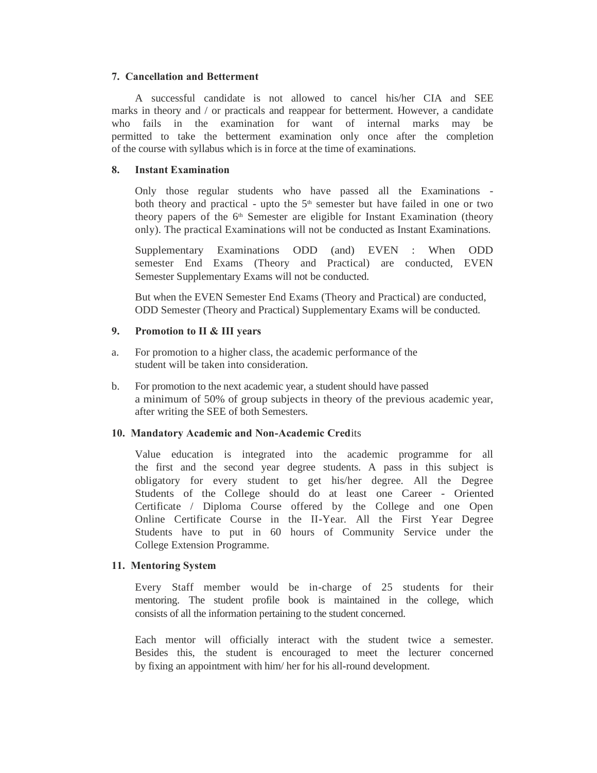#### **7. Cancellation and Betterment**

A successful candidate is not allowed to cancel his/her CIA and SEE marks in theory and / or practicals and reappear for betterment. However, a candidate who fails in the examination for want of internal marks may be permitted to take the betterment examination only once after the completion of the course with syllabus which is in force at the time of examinations.

#### **8. Instant Examination**

Only those regular students who have passed all the Examinations both theory and practical - upto the  $5<sup>th</sup>$  semester but have failed in one or two theory papers of the  $6<sup>th</sup>$  Semester are eligible for Instant Examination (theory only). The practical Examinations will not be conducted as Instant Examinations.

Supplementary Examinations ODD (and) EVEN : When ODD semester End Exams (Theory and Practical) are conducted, EVEN Semester Supplementary Exams will not be conducted.

But when the EVEN Semester End Exams (Theory and Practical) are conducted, ODD Semester (Theory and Practical) Supplementary Exams will be conducted.

## **9. Promotion to II & III years**

- a. For promotion to a higher class, the academic performance of the student will be taken into consideration.
- b. For promotion to the next academic year, a student should have passed a minimum of 50% of group subjects in theory of the previous academic year, after writing the SEE of both Semesters.

#### **10. Mandatory Academic and Non-Academic Cred**its

Value education is integrated into the academic programme for all the first and the second year degree students. A pass in this subject is obligatory for every student to get his/her degree. All the Degree Students of the College should do at least one Career - Oriented Certificate / Diploma Course offered by the College and one Open Online Certificate Course in the II-Year. All the First Year Degree Students have to put in 60 hours of Community Service under the College Extension Programme.

#### **11. Mentoring System**

Every Staff member would be in-charge of 25 students for their mentoring. The student profile book is maintained in the college, which consists of all the information pertaining to the student concerned.

Each mentor will officially interact with the student twice a semester. Besides this, the student is encouraged to meet the lecturer concerned by fixing an appointment with him/ her for his all-round development.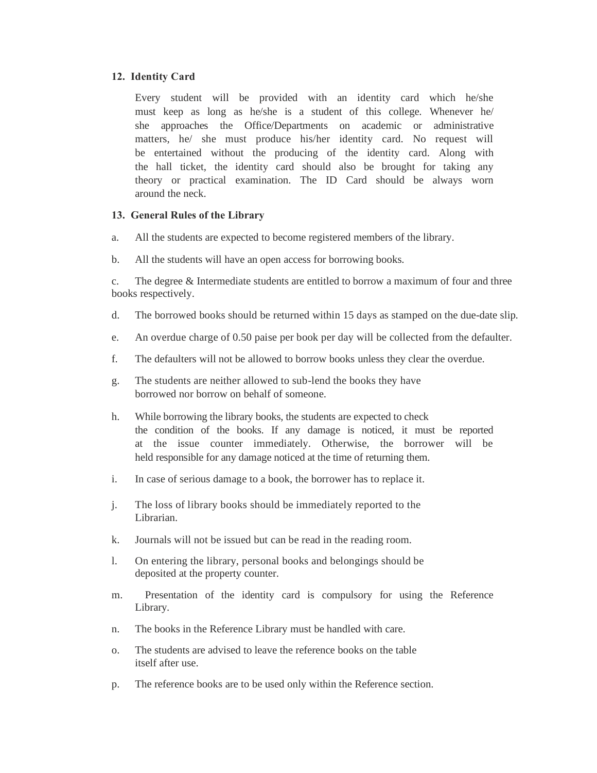## **12. Identity Card**

Every student will be provided with an identity card which he/she must keep as long as he/she is a student of this college. Whenever he/ she approaches the Office/Departments on academic or administrative matters, he/ she must produce his/her identity card. No request will be entertained without the producing of the identity card. Along with the hall ticket, the identity card should also be brought for taking any theory or practical examination. The ID Card should be always worn around the neck.

## **13. General Rules of the Library**

- a. All the students are expected to become registered members of the library.
- b. All the students will have an open access for borrowing books.

c. The degree & Intermediate students are entitled to borrow a maximum of four and three books respectively.

- d. The borrowed books should be returned within 15 days as stamped on the due-date slip.
- e. An overdue charge of 0.50 paise per book per day will be collected from the defaulter.
- f. The defaulters will not be allowed to borrow books unless they clear the overdue.
- g. The students are neither allowed to sub-lend the books they have borrowed nor borrow on behalf of someone.
- h. While borrowing the library books, the students are expected to check the condition of the books. If any damage is noticed, it must be reported at the issue counter immediately. Otherwise, the borrower will be held responsible for any damage noticed at the time of returning them.
- i. In case of serious damage to a book, the borrower has to replace it.
- j. The loss of library books should be immediately reported to the Librarian.
- k. Journals will not be issued but can be read in the reading room.
- l. On entering the library, personal books and belongings should be deposited at the property counter.
- m. Presentation of the identity card is compulsory for using the Reference Library.
- n. The books in the Reference Library must be handled with care.
- o. The students are advised to leave the reference books on the table itself after use.
- p. The reference books are to be used only within the Reference section.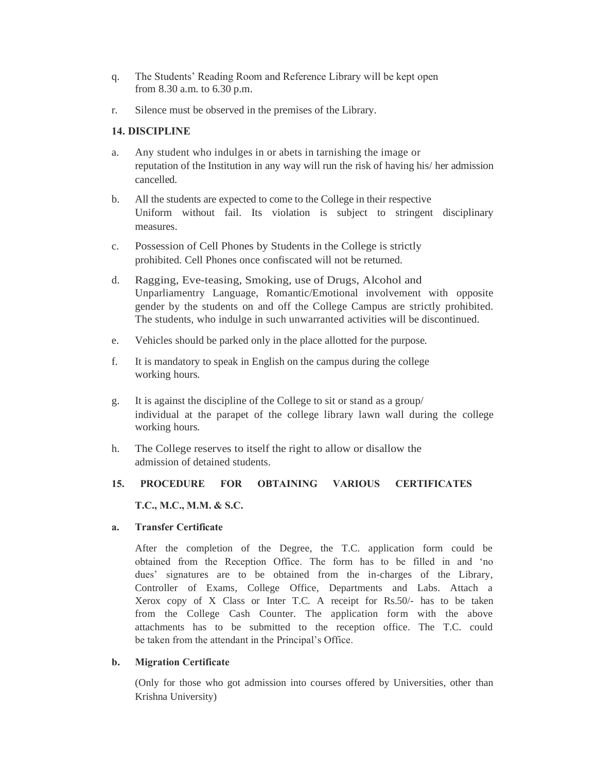- q. The Students' Reading Room and Reference Library will be kept open from 8.30 a.m. to 6.30 p.m.
- r. Silence must be observed in the premises of the Library.

# **14. DISCIPLINE**

- a. Any student who indulges in or abets in tarnishing the image or reputation of the Institution in any way will run the risk of having his/ her admission cancelled.
- b. All the students are expected to come to the College in their respective Uniform without fail. Its violation is subject to stringent disciplinary measures.
- c. Possession of Cell Phones by Students in the College is strictly prohibited. Cell Phones once confiscated will not be returned.
- d. Ragging, Eve-teasing, Smoking, use of Drugs, Alcohol and Unparliamentry Language, Romantic/Emotional involvement with opposite gender by the students on and off the College Campus are strictly prohibited. The students, who indulge in such unwarranted activities will be discontinued.
- e. Vehicles should be parked only in the place allotted for the purpose.
- f. It is mandatory to speak in English on the campus during the college working hours.
- g. It is against the discipline of the College to sit or stand as a group/ individual at the parapet of the college library lawn wall during the college working hours.
- h. The College reserves to itself the right to allow or disallow the admission of detained students.

# **15. PROCEDURE FOR OBTAINING VARIOUS CERTIFICATES**

**T.C., M.C., M.M. & S.C.**

# **a. Transfer Certificate**

After the completion of the Degree, the T.C. application form could be obtained from the Reception Office. The form has to be filled in and 'no dues' signatures are to be obtained from the in-charges of the Library, Controller of Exams, College Office, Departments and Labs. Attach a Xerox copy of X Class or Inter T.C. A receipt for Rs.50/- has to be taken from the College Cash Counter. The application form with the above attachments has to be submitted to the reception office. The T.C. could be taken from the attendant in the Principal's Office.

# **b. Migration Certificate**

(Only for those who got admission into courses offered by Universities, other than Krishna University)